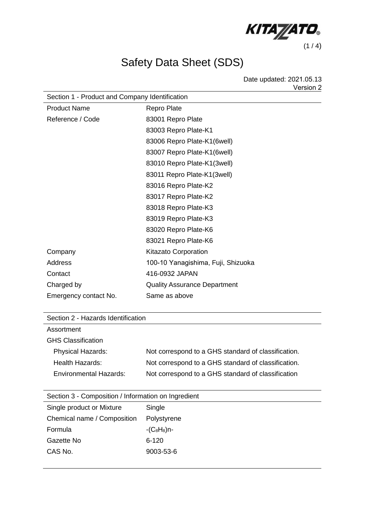

## Safety Data Sheet (SDS)

Date updated: 2021.05.13 Version 2 

| Section 1 - Product and Company Identification |                                     |  |
|------------------------------------------------|-------------------------------------|--|
| <b>Product Name</b>                            | <b>Repro Plate</b>                  |  |
| Reference / Code                               | 83001 Repro Plate                   |  |
|                                                | 83003 Repro Plate-K1                |  |
|                                                | 83006 Repro Plate-K1(6well)         |  |
|                                                | 83007 Repro Plate-K1(6well)         |  |
|                                                | 83010 Repro Plate-K1(3well)         |  |
|                                                | 83011 Repro Plate-K1(3well)         |  |
|                                                | 83016 Repro Plate-K2                |  |
|                                                | 83017 Repro Plate-K2                |  |
|                                                | 83018 Repro Plate-K3                |  |
|                                                | 83019 Repro Plate-K3                |  |
|                                                | 83020 Repro Plate-K6                |  |
|                                                | 83021 Repro Plate-K6                |  |
| Company                                        | <b>Kitazato Corporation</b>         |  |
| Address                                        | 100-10 Yanagishima, Fuji, Shizuoka  |  |
| Contact                                        | 416-0932 JAPAN                      |  |
| Charged by                                     | <b>Quality Assurance Department</b> |  |
| Emergency contact No.                          | Same as above                       |  |
|                                                |                                     |  |

| Section 2 - Hazards Identification |  |
|------------------------------------|--|
|------------------------------------|--|

| Assortment                    |                                                     |
|-------------------------------|-----------------------------------------------------|
| <b>GHS Classification</b>     |                                                     |
| <b>Physical Hazards:</b>      | Not correspond to a GHS standard of classification. |
| Health Hazards:               | Not correspond to a GHS standard of classification. |
| <b>Environmental Hazards:</b> | Not correspond to a GHS standard of classification  |

| Section 3 - Composition / Information on Ingredient |  |
|-----------------------------------------------------|--|
|                                                     |  |

| Single product or Mixture   | Single        |
|-----------------------------|---------------|
| Chemical name / Composition | Polystyrene   |
| Formula                     | $-C_8H_8$ )n- |
| Gazette No                  | 6-120         |
| CAS No.                     | 9003-53-6     |
|                             |               |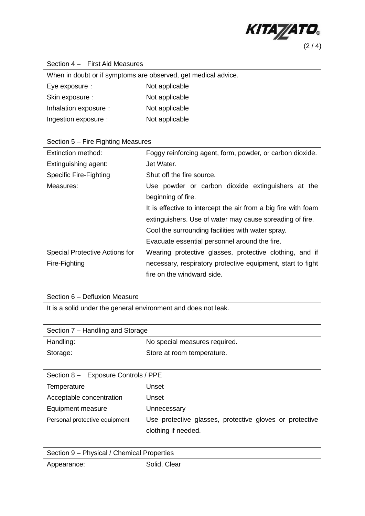

| Section 4 - First Aid Measures                                 |                                                                |
|----------------------------------------------------------------|----------------------------------------------------------------|
| When in doubt or if symptoms are observed, get medical advice. |                                                                |
| Eye exposure :                                                 | Not applicable                                                 |
| Skin exposure :                                                | Not applicable                                                 |
| Inhalation exposure :                                          | Not applicable                                                 |
| Ingestion exposure :                                           | Not applicable                                                 |
|                                                                |                                                                |
| Section 5 – Fire Fighting Measures                             |                                                                |
| Extinction method:                                             | Foggy reinforcing agent, form, powder, or carbon dioxide.      |
| Extinguishing agent:                                           | Jet Water.                                                     |
| <b>Specific Fire-Fighting</b>                                  | Shut off the fire source.                                      |
| Measures:                                                      | Use powder or carbon dioxide extinguishers at the              |
|                                                                | beginning of fire.                                             |
|                                                                | It is effective to intercept the air from a big fire with foam |
|                                                                | extinguishers. Use of water may cause spreading of fire.       |
|                                                                | Cool the surrounding facilities with water spray.              |
|                                                                | Evacuate essential personnel around the fire.                  |
| Special Protective Actions for                                 | Wearing protective glasses, protective clothing, and if        |
| Fire-Fighting                                                  | necessary, respiratory protective equipment, start to fight    |

Section 6 – Defluxion Measure

It is a solid under the general environment and does not leak.

| Section 7 – Handling and Storage    |                               |  |
|-------------------------------------|-------------------------------|--|
| Handling:                           | No special measures required. |  |
| Storage:                            | Store at room temperature.    |  |
|                                     |                               |  |
| Section 8 - Exposure Controls / PPE |                               |  |
| Temperature                         | Unset                         |  |
| Acceptable concentration            | Unset                         |  |
| Equipment measure                   | Unnecessary                   |  |
|                                     |                               |  |

fire on the windward side.

| Personal protective equipment | Use protective glasses, protective gloves or protective |  |  |  |
|-------------------------------|---------------------------------------------------------|--|--|--|
|                               | clothing if needed.                                     |  |  |  |

| Section 9 - Physical / Chemical Properties |              |  |
|--------------------------------------------|--------------|--|
| Appearance:                                | Solid, Clear |  |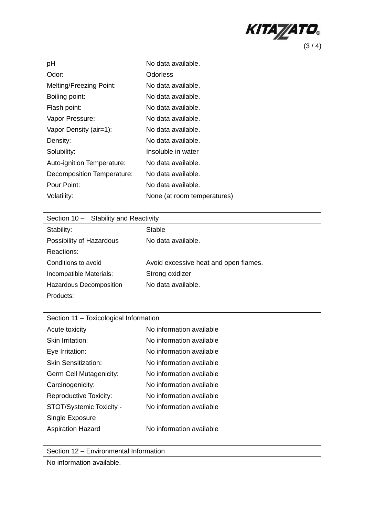

| pH                         | No data available.          |
|----------------------------|-----------------------------|
| Odor:                      | Odorless                    |
| Melting/Freezing Point:    | No data available.          |
| Boiling point:             | No data available.          |
| Flash point:               | No data available.          |
| Vapor Pressure:            | No data available.          |
| Vapor Density (air=1):     | No data available.          |
| Density:                   | No data available.          |
| Solubility:                | Insoluble in water          |
| Auto-ignition Temperature: | No data available.          |
| Decomposition Temperature: | No data available.          |
| Pour Point:                | No data available.          |
| Volatility:                | None (at room temperatures) |

| Section 10 - Stability and Reactivity |                                       |
|---------------------------------------|---------------------------------------|
| Stability:                            | Stable                                |
| Possibility of Hazardous              | No data available.                    |
| Reactions:                            |                                       |
| Conditions to avoid                   | Avoid excessive heat and open flames. |
| Incompatible Materials:               | Strong oxidizer                       |
| Hazardous Decomposition               | No data available.                    |
| Products:                             |                                       |

| Section 11 - Toxicological Information |                          |  |
|----------------------------------------|--------------------------|--|
| Acute toxicity                         | No information available |  |
| Skin Irritation:                       | No information available |  |
| Eye Irritation:                        | No information available |  |
| <b>Skin Sensitization:</b>             | No information available |  |
| Germ Cell Mutagenicity:                | No information available |  |
| Carcinogenicity:                       | No information available |  |
| <b>Reproductive Toxicity:</b>          | No information available |  |
| STOT/Systemic Toxicity -               | No information available |  |
| Single Exposure                        |                          |  |
| <b>Aspiration Hazard</b>               | No information available |  |
|                                        |                          |  |

Section 12 – Environmental Information

No information available.